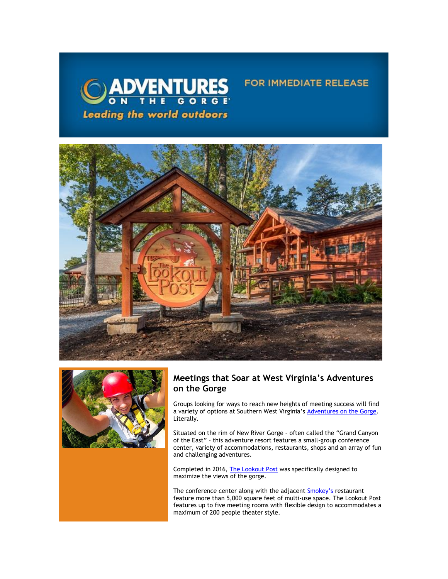





# **Meetings that Soar at West Virginia's Adventures on the Gorge**

FOR IMMEDIATE RELEASE

Groups looking for ways to reach new heights of meeting success will find a variety of options at Southern West Virginia's [Adventures on the Gorge.](https://click.icptrack.com/icp/relay.php?r=13440961&msgid=470951&act=3SPQ&c=1378153&destination=http%3A%2F%2Fwww.adventuresonthegorge.com%2F&cf=13608&v=5a6d29c5bd89500c6946838c97b8849561ebbd48dbb2fdae9fe0068cb3f8e60e) Literally.

Situated on the rim of New River Gorge – often called the "Grand Canyon of the East" – this adventure resort features a small-group conference center, variety of accommodations, restaurants, shops and an array of fun and challenging adventures.

Completed in 2016, [The Lookout Post](https://click.icptrack.com/icp/relay.php?r=13440961&msgid=470951&act=3SPQ&c=1378153&destination=https%3A%2F%2Fwww.adventuresonthegorge.com%2Fgroups-meetings%2Flookout-post-conference-center&cf=13608&v=111a02aff7e9c13287ef8e02ff651a47de7551aac578a056739ca634b780680f) was specifically designed to maximize the views of the gorge.

The conference center along with the adjacent **[Smokey's](https://click.icptrack.com/icp/relay.php?r=13440961&msgid=470951&act=3SPQ&c=1378153&destination=https%3A%2F%2Fwww.adventuresonthegorge.com%2Fdining%2Fsmokeys-gorge&cf=13608&v=d54faea0964e9742f15872dc27a7f8c038c838986674d85e6a7fa775b49d5fbf)** restaurant feature more than 5,000 square feet of multi-use space. The Lookout Post features up to five meeting rooms with flexible design to accommodates a maximum of 200 people theater style.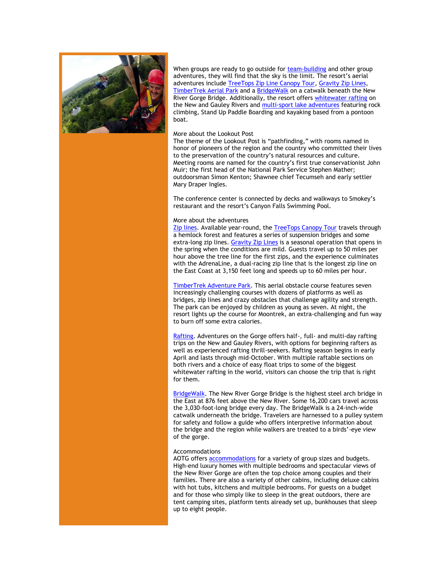

When groups are ready to go outside for [team-building](https://click.icptrack.com/icp/relay.php?r=13440961&msgid=470951&act=3SPQ&c=1378153&destination=https%3A%2F%2Fwww.adventuresonthegorge.com%2Fadventures%2Fteam-building%2Fteam-challenge&cf=13608&v=013302fa1df95d8f5748f9cbbc21cbc2e6484864c3f6d80d32e58429617ef426) and other group adventures, they will find that the sky is the limit. The resort's aerial adventures include [TreeTops Zip Line Canopy Tour,](https://click.icptrack.com/icp/relay.php?r=13440961&msgid=470951&act=3SPQ&c=1378153&destination=https%3A%2F%2Fwww.adventuresonthegorge.com%2Fadventures%2Fzip-line-aerial-adventures%2Ftreetops-zip-line-canopy-tour&cf=13608&v=4d2e554763c7e6476eb82304466fb9fe9a0b3afd681ed33153853c13da0f586e) [Gravity Zip Lines,](https://click.icptrack.com/icp/relay.php?r=13440961&msgid=470951&act=3SPQ&c=1378153&destination=https%3A%2F%2Fwww.adventuresonthegorge.com%2Freservation%2Fadd%2Fgravity-zip-lines&cf=13608&v=8219d8660754206311c4a9e06aa71eb676500b42bb067345c2c27970f76b5da9) [TimberTrek Aerial Park](https://click.icptrack.com/icp/relay.php?r=13440961&msgid=470951&act=3SPQ&c=1378153&destination=https%3A%2F%2Fwww.adventuresonthegorge.com%2Fadventures%2Fzip-line-aerial-adventures%2Ftimbertrek-adventure-park&cf=13608&v=f5b18df34f72c6e221b213327e316235e4ba9e413f0297064d2486d88192b548) and a [BridgeWalk](https://click.icptrack.com/icp/relay.php?r=13440961&msgid=470951&act=3SPQ&c=1378153&destination=https%3A%2F%2Fwww.adventuresonthegorge.com%2Fadventures%2Fzip-line-aerial-adventures%2Fbridge-walk&cf=13608&v=3a847d204cc212e53b45da2dc14f0a1454fb6e9f4dc5ea0548d0bd6c51df18b1) on a catwalk beneath the New River Gorge Bridge. Additionally, the resort offers [whitewater rafting](https://click.icptrack.com/icp/relay.php?r=13440961&msgid=470951&act=3SPQ&c=1378153&destination=https%3A%2F%2Fwww.adventuresonthegorge.com%2Fadventures%2Fwhitewater-rafting&cf=13608&v=b4693a620132c6eb79638e990369ab511f7eb4dddc8972149b0659499412c79c) on the New and Gauley Rivers and **[multi-sport lake adventures](https://click.icptrack.com/icp/relay.php?r=13440961&msgid=470951&act=3SPQ&c=1378153&destination=https%3A%2F%2Fwww.adventuresonthegorge.com%2Fadventures%2Flake-adventures&cf=13608&v=0858fe82ba8868c48db9ce27772fa395f65fbd4f4833cfb0d9dd52f753eb5552)** featuring rock climbing, Stand Up Paddle Boarding and kayaking based from a pontoon boat.

## More about the Lookout Post

The theme of the Lookout Post is "pathfinding," with rooms named in honor of pioneers of the region and the country who committed their lives to the preservation of the country's natural resources and culture. Meeting rooms are named for the country's first true conservationist John Muir; the first head of the National Park Service Stephen Mather; outdoorsman Simon Kenton; Shawnee chief Tecumseh and early settler Mary Draper Ingles.

The conference center is connected by decks and walkways to Smokey's restaurant and the resort's Canyon Falls Swimming Pool.

#### More about the adventures

[Zip lines.](https://click.icptrack.com/icp/relay.php?r=13440961&msgid=470951&act=3SPQ&c=1378153&destination=https%3A%2F%2Fwww.adventuresonthegorge.com%2Fadventures%2Fzip-line-aerial-adventures%2Fbridge-walk&cf=13608&v=3a847d204cc212e53b45da2dc14f0a1454fb6e9f4dc5ea0548d0bd6c51df18b1) Available year-round, the [TreeTops Canopy Tour](https://click.icptrack.com/icp/relay.php?r=13440961&msgid=470951&act=3SPQ&c=1378153&destination=https%3A%2F%2Fwww.adventuresonthegorge.com%2Fadventures%2Fzip-line-aerial-adventures%2Ftreetops-zip-line-canopy-tour.&cf=13608&v=8c884f2c9400547d1172ba297fed21e923b980fe2fe67f2f828087e95cfb9ca4) travels through a hemlock forest and features a series of suspension bridges and some extra-long zip lines. [Gravity Zip Lines](https://click.icptrack.com/icp/relay.php?r=13440961&msgid=470951&act=3SPQ&c=1378153&destination=https%3A%2F%2Fwww.adventuresonthegorge.com%2Fadventures%2Fzip-line-aerial-adventures%2Fgravity-zip-lines&cf=13608&v=0f8ea3520af71d2b06fd33258530626a235b17ea0886ac1a31b875a355d74847) is a seasonal operation that opens in the spring when the conditions are mild. Guests travel up to 50 miles per hour above the tree line for the first zips, and the experience culminates with the AdrenaLine, a dual-racing zip line that is the longest zip line on the East Coast at 3,150 feet long and speeds up to 60 miles per hour.

[TimberTrek Adventure Park.](https://click.icptrack.com/icp/relay.php?r=13440961&msgid=470951&act=3SPQ&c=1378153&destination=https%3A%2F%2Fwww.adventuresonthegorge.com%2Fadventures%2Fzip-line-aerial-adventures%2Ftimbertrek-adventure-park.&cf=13608&v=87579d70641be0e42457ef54da50c7c334439bacdf7fa4953d0f073b738d2df7) This aerial obstacle course features seven increasingly challenging courses with dozens of platforms as well as bridges, zip lines and crazy obstacles that challenge agility and strength. The park can be enjoyed by children as young as seven. At night, the resort lights up the course for Moontrek, an extra-challenging and fun way to burn off some extra calories.

[Rafting.](https://click.icptrack.com/icp/relay.php?r=13440961&msgid=470951&act=3SPQ&c=1378153&destination=https%3A%2F%2Fwww.adventuresonthegorge.com%2Fadventures%2Fwhitewater-rafting&cf=13608&v=b4693a620132c6eb79638e990369ab511f7eb4dddc8972149b0659499412c79c) Adventures on the Gorge offers half-, full- and multi-day rafting trips on the New and Gauley Rivers, with options for beginning rafters as well as experienced rafting thrill-seekers. Rafting season begins in early April and lasts through mid-October. With multiple raftable sections on both rivers and a choice of easy float trips to some of the biggest whitewater rafting in the world, visitors can choose the trip that is right for them.

[BridgeWalk.](https://click.icptrack.com/icp/relay.php?r=13440961&msgid=470951&act=3SPQ&c=1378153&destination=https%3A%2F%2Fwww.adventuresonthegorge.com%2Fadventures%2Fzip-line-aerial-adventures%2Fbridge-walk&cf=13608&v=3a847d204cc212e53b45da2dc14f0a1454fb6e9f4dc5ea0548d0bd6c51df18b1) The New River Gorge Bridge is the highest steel arch bridge in the East at 876 feet above the New River. Some 16,200 cars travel across the 3,030-foot-long bridge every day. The BridgeWalk is a 24-inch-wide catwalk underneath the bridge. Travelers are harnessed to a pulley system for safety and follow a guide who offers interpretive information about the bridge and the region while walkers are treated to a birds'-eye view of the gorge.

#### Accommodations

AOTG offers **[accommodations](https://click.icptrack.com/icp/relay.php?r=13440961&msgid=470951&act=3SPQ&c=1378153&destination=http%3A%2F%2Fadventuresonthegorge.com%2Flodging&cf=13608&v=96a2100ed2f585f140194e6fb151ef84ebc35c38cb3c9fa2cefd6dbf7fd00358)** for a variety of group sizes and budgets. High-end luxury homes with multiple bedrooms and spectacular views of the New River Gorge are often the top choice among couples and their families. There are also a variety of other cabins, including deluxe cabins with hot tubs, kitchens and multiple bedrooms. For guests on a budget and for those who simply like to sleep in the great outdoors, there are tent camping sites, platform tents already set up, bunkhouses that sleep up to eight people.